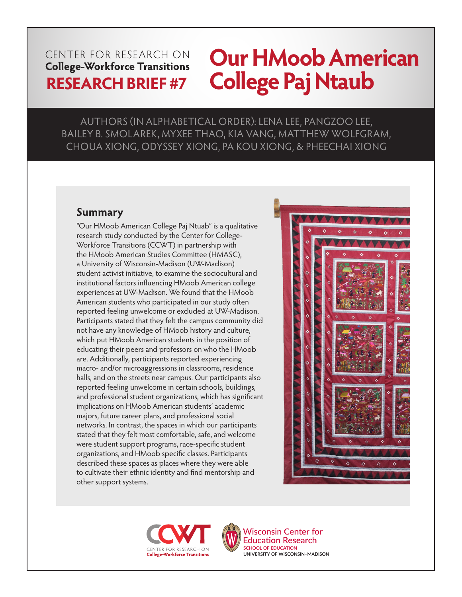# CENTER FOR RESEARCH ON

# **Our HMoob American RESEARCH BRIEF #7 College Paj Ntaub**

AUTHORS (IN ALPHABETICAL ORDER): LENA LEE, PANGZOO LEE, BAILEY B. SMOLAREK, MYXEE THAO, KIA VANG, MATTHEW WOLFGRAM, CHOUA XIONG, ODYSSEY XIONG, PA KOU XIONG, & PHEECHAI XIONG

# **Summary**

"Our HMoob American College Paj Ntuab" is a qualitative research study conducted by the Center for College-Workforce Transitions (CCWT) in partnership with the HMoob American Studies Committee (HMASC), a University of Wisconsin-Madison (UW-Madison) student activist initiative, to examine the sociocultural and institutional factors influencing HMoob American college experiences at UW-Madison. We found that the HMoob American students who participated in our study often reported feeling unwelcome or excluded at UW-Madison. Participants stated that they felt the campus community did not have any knowledge of HMoob history and culture, which put HMoob American students in the position of educating their peers and professors on who the HMoob are. Additionally, participants reported experiencing macro- and/or microaggressions in classrooms, residence halls, and on the streets near campus. Our participants also reported feeling unwelcome in certain schools, buildings, and professional student organizations, which has significant implications on HMoob American students' academic majors, future career plans, and professional social networks. In contrast, the spaces in which our participants stated that they felt most comfortable, safe, and welcome were student support programs, race-specific student organizations, and HMoob specific classes. Participants described these spaces as places where they were able to cultivate their ethnic identity and find mentorship and other support systems.







**Wisconsin Center for Education Research SCHOOL OF EDUCATION** UNIVERSITY OF WISCONSIN-MADISON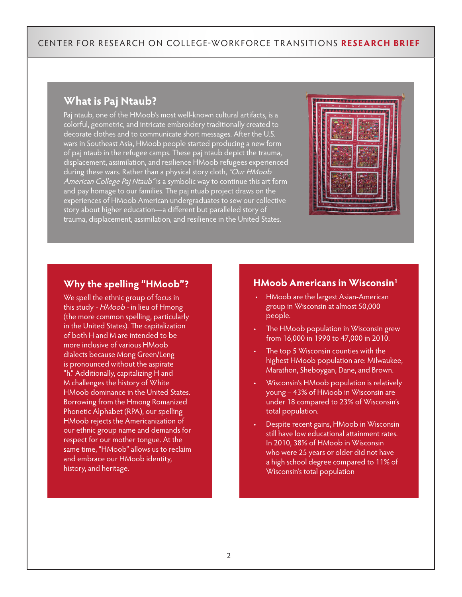# **What is Paj Ntaub?**

Paj ntaub, one of the HMoob's most well-known cultural artifacts, is a colorful, geometric, and intricate embroidery traditionally created to decorate clothes and to communicate short messages. After the U.S. wars in Southeast Asia, HMoob people started producing a new form of paj ntaub in the refugee camps. These paj ntaub depict the trauma, displacement, assimilation, and resilience HMoob refugees experienced during these wars. Rather than a physical story cloth, "Our HMoob American College Paj Ntaub" is a symbolic way to continue this art form and pay homage to our families. The paj ntuab project draws on the experiences of HMoob American undergraduates to sew our collective story about higher education—a different but paralleled story of trauma, displacement, assimilation, and resilience in the United States.



#### **Why the spelling "HMoob"?**

We spell the ethnic group of focus in this study - HMoob - in lieu of Hmong (the more common spelling, particularly in the United States). The capitalization of both H and M are intended to be more inclusive of various HMoob dialects because Mong Green/Leng is pronounced without the aspirate "h." Additionally, capitalizing H and M challenges the history of White HMoob dominance in the United States. Borrowing from the Hmong Romanized Phonetic Alphabet (RPA), our spelling HMoob rejects the Americanization of our ethnic group name and demands for respect for our mother tongue. At the same time, "HMoob" allows us to reclaim and embrace our HMoob identity, history, and heritage.

#### **HMoob Americans in Wisconsin1**

- HMoob are the largest Asian-American group in Wisconsin at almost 50,000 people.
- The HMoob population in Wisconsin grew from 16,000 in 1990 to 47,000 in 2010.
- The top 5 Wisconsin counties with the highest HMoob population are: Milwaukee, Marathon, Sheboygan, Dane, and Brown.
- Wisconsin's HMoob population is relatively young – 43% of HMoob in Wisconsin are under 18 compared to 23% of Wisconsin's total population.
- Despite recent gains, HMoob in Wisconsin still have low educational attainment rates. In 2010, 38% of HMoob in Wisconsin who were 25 years or older did not have a high school degree compared to 11% of Wisconsin's total population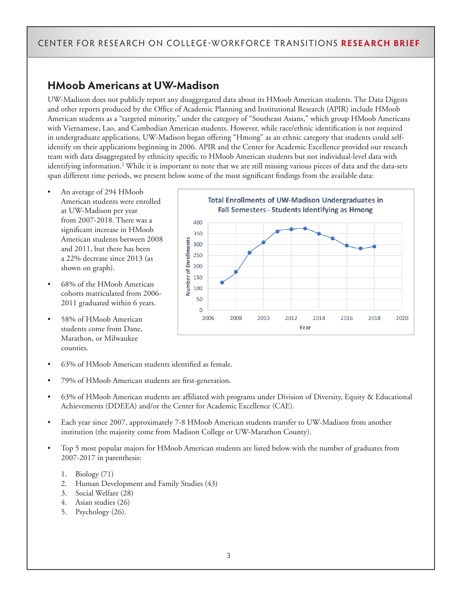# **HMoob Americans at UW-Madison**

UW-Madison does not publicly report any disaggregated data about its HMoob American students. The Data Digests and other reports produced by the Office of Academic Planning and Institutional Research (APIR) include HMoob American students as a "targeted minority," under the category of "Southeast Asians," which group HMoob Americans with Vietnamese, Lao, and Cambodian American students. However, while race/ethnic identification is not required in undergraduate applications, UW-Madison began offering "Hmong" as an ethnic category that students could selfidentify on their applications beginning in 2006. APIR and the Center for Academic Excellence provided our research team with data disaggregated by ethnicity specific to HMoob American students but not individual-level data with identifying information.2 While it is important to note that we are still missing various pieces of data and the data-sets span different time periods, we present below some of the most significant findings from the available data:

- An average of 294 HMoob American students were enrolled at UW-Madison per year from 2007-2018. There was a significant increase in HMoob American students between 2008 and 2011, but there has been a 22% decrease since 2013 (as shown on graph).
- 68% of the HMoob American cohorts matriculated from 2006- 2011 graduated within 6 years.
- 58% of HMoob American students come from Dane, Marathon, or Milwaukee counties.



- 63% of HMoob American students identified as female.
- 79% of HMoob American students are first-generation.
- 63% of HMoob American students are affiliated with programs under Division of Diversity, Equity & Educational Achievements (DDEEA) and/or the Center for Academic Excellence (CAE).
- Each year since 2007, approximately 7-8 HMoob American students transfer to UW-Madison from another institution (the majority come from Madison College or UW-Marathon County).
- Top 5 most popular majors for HMoob American students are listed below with the number of graduates from 2007-2017 in parenthesis:
	- 1. Biology (71)
	- 2. Human Development and Family Studies (43)
	- 3. Social Welfare (28)
	- 4. Asian studies (26)
	- 5. Psychology (26).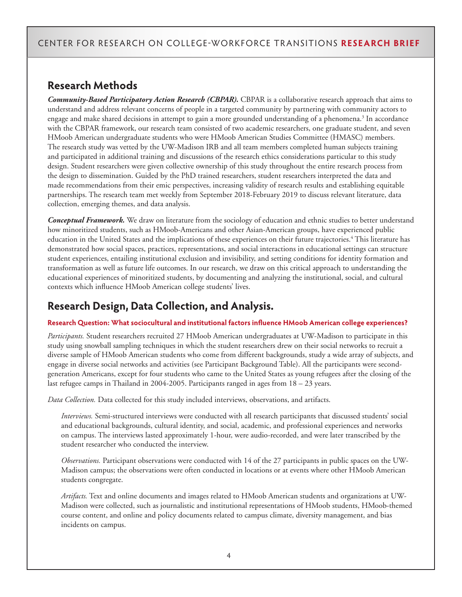# **Research Methods**

*Community-Based Participatory Action Research (CBPAR).* CBPAR is a collaborative research approach that aims to understand and address relevant concerns of people in a targeted community by partnering with community actors to engage and make shared decisions in attempt to gain a more grounded understanding of a phenomena.3 In accordance with the CBPAR framework, our research team consisted of two academic researchers, one graduate student, and seven HMoob American undergraduate students who were HMoob American Studies Committee (HMASC) members. The research study was vetted by the UW-Madison IRB and all team members completed human subjects training and participated in additional training and discussions of the research ethics considerations particular to this study design. Student researchers were given collective ownership of this study throughout the entire research process from the design to dissemination. Guided by the PhD trained researchers, student researchers interpreted the data and made recommendations from their emic perspectives, increasing validity of research results and establishing equitable partnerships. The research team met weekly from September 2018-February 2019 to discuss relevant literature, data collection, emerging themes, and data analysis.

*Conceptual Framework.* We draw on literature from the sociology of education and ethnic studies to better understand how minoritized students, such as HMoob-Americans and other Asian-American groups, have experienced public education in the United States and the implications of these experiences on their future trajectories.<sup>4</sup> This literature has demonstrated how social spaces, practices, representations, and social interactions in educational settings can structure student experiences, entailing institutional exclusion and invisibility, and setting conditions for identity formation and transformation as well as future life outcomes. In our research, we draw on this critical approach to understanding the educational experiences of minoritized students, by documenting and analyzing the institutional, social, and cultural contexts which influence HMoob American college students' lives.

# **Research Design, Data Collection, and Analysis.**

#### **Research Question: What sociocultural and institutional factors influence HMoob American college experiences?**

*Participants.* Student researchers recruited 27 HMoob American undergraduates at UW-Madison to participate in this study using snowball sampling techniques in which the student researchers drew on their social networks to recruit a diverse sample of HMoob American students who come from different backgrounds, study a wide array of subjects, and engage in diverse social networks and activities (see Participant Background Table). All the participants were secondgeneration Americans, except for four students who came to the United States as young refugees after the closing of the last refugee camps in Thailand in 2004-2005. Participants ranged in ages from 18 – 23 years.

*Data Collection.* Data collected for this study included interviews, observations, and artifacts.

*Interviews.* Semi-structured interviews were conducted with all research participants that discussed students' social and educational backgrounds, cultural identity, and social, academic, and professional experiences and networks on campus. The interviews lasted approximately 1-hour, were audio-recorded, and were later transcribed by the student researcher who conducted the interview.

*Observations.* Participant observations were conducted with 14 of the 27 participants in public spaces on the UW-Madison campus; the observations were often conducted in locations or at events where other HMoob American students congregate.

*Artifacts.* Text and online documents and images related to HMoob American students and organizations at UW-Madison were collected, such as journalistic and institutional representations of HMoob students, HMoob-themed course content, and online and policy documents related to campus climate, diversity management, and bias incidents on campus.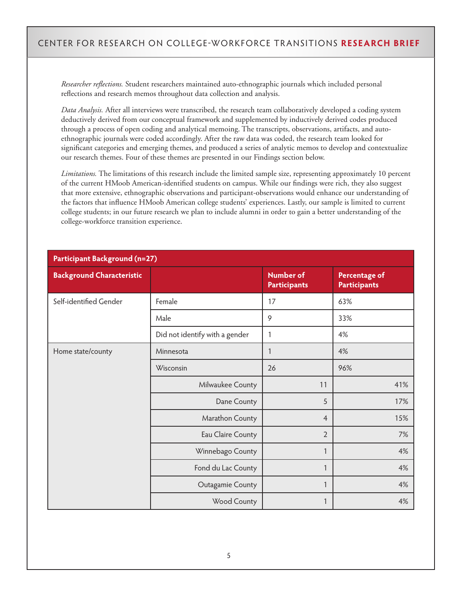*Researcher reflections.* Student researchers maintained auto-ethnographic journals which included personal reflections and research memos throughout data collection and analysis.

*Data Analysis.* After all interviews were transcribed, the research team collaboratively developed a coding system deductively derived from our conceptual framework and supplemented by inductively derived codes produced through a process of open coding and analytical memoing. The transcripts, observations, artifacts, and autoethnographic journals were coded accordingly. After the raw data was coded, the research team looked for significant categories and emerging themes, and produced a series of analytic memos to develop and contextualize our research themes. Four of these themes are presented in our Findings section below.

*Limitations.* The limitations of this research include the limited sample size, representing approximately 10 percent of the current HMoob American-identified students on campus. While our findings were rich, they also suggest that more extensive, ethnographic observations and participant-observations would enhance our understanding of the factors that influence HMoob American college students' experiences. Lastly, our sample is limited to current college students; in our future research we plan to include alumni in order to gain a better understanding of the college-workforce transition experience.

| <b>Participant Background (n=27)</b> |                                |                                         |                                             |  |
|--------------------------------------|--------------------------------|-----------------------------------------|---------------------------------------------|--|
| <b>Background Characteristic</b>     |                                | <b>Number of</b><br><b>Participants</b> | <b>Percentage of</b><br><b>Participants</b> |  |
| Self-identified Gender               | Female                         | 17                                      | 63%                                         |  |
|                                      | Male                           | 9                                       | 33%                                         |  |
|                                      | Did not identify with a gender | 1                                       | 4%                                          |  |
| Home state/county                    | Minnesota                      | 1                                       | 4%                                          |  |
|                                      | Wisconsin                      | 26                                      | 96%                                         |  |
|                                      | Milwaukee County               | 11                                      | 41%                                         |  |
|                                      | Dane County                    | 5                                       | 17%                                         |  |
|                                      | Marathon County                | $\overline{4}$                          | 15%                                         |  |
|                                      | Eau Claire County              | $\overline{2}$                          | 7%                                          |  |
|                                      | Winnebago County               | $\mathbf{1}$                            | 4%                                          |  |
|                                      | Fond du Lac County             | $\mathbf{1}$                            | 4%                                          |  |
|                                      | Outagamie County               | $\mathbf{1}$                            | 4%                                          |  |
|                                      | Wood County                    | 1                                       | 4%                                          |  |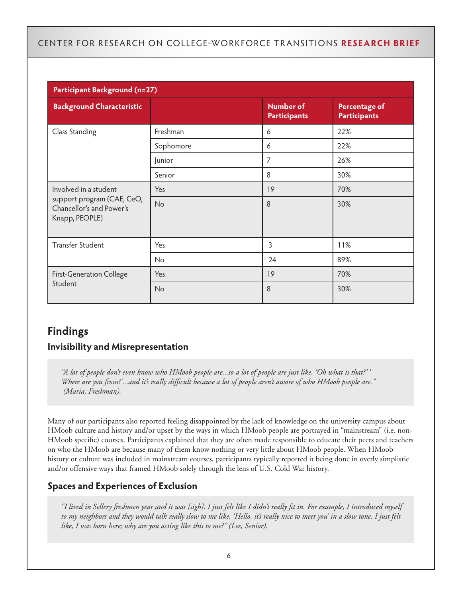| <b>Participant Background (n=27)</b>                                                              |           |                                         |                                             |  |
|---------------------------------------------------------------------------------------------------|-----------|-----------------------------------------|---------------------------------------------|--|
| <b>Background Characteristic</b>                                                                  |           | <b>Number of</b><br><b>Participants</b> | <b>Percentage of</b><br><b>Participants</b> |  |
| Class Standing                                                                                    | Freshman  | 6                                       | 22%                                         |  |
|                                                                                                   | Sophomore | 6                                       | 22%                                         |  |
|                                                                                                   | Junior    | 7                                       | 26%                                         |  |
|                                                                                                   | Senior    | 8                                       | 30%                                         |  |
| Involved in a student<br>support program (CAE, CeO,<br>Chancellor's and Power's<br>Knapp, PEOPLE) | Yes       | 19                                      | 70%                                         |  |
|                                                                                                   | No        | 8                                       | 30%                                         |  |
| <b>Transfer Student</b>                                                                           | Yes       | 3                                       | 11%                                         |  |
|                                                                                                   | No        | 24                                      | 89%                                         |  |
| <b>First-Generation College</b><br>Student                                                        | Yes       | 19                                      | 70%                                         |  |
|                                                                                                   | No        | 8                                       | 30%                                         |  |

# **Findings Invisibility and Misrepresentation**

*"A lot of people don't even know who HMoob people are...so a lot of people are just like, 'Oh what is that?' ' Where are you from?'...and it's really difficult because a lot of people aren't aware of who HMoob people are." (Maria, Freshman).* 

Many of our participants also reported feeling disappointed by the lack of knowledge on the university campus about HMoob culture and history and/or upset by the ways in which HMoob people are portrayed in "mainstream" (i.e. non-HMoob specific) courses. Participants explained that they are often made responsible to educate their peers and teachers on who the HMoob are because many of them know nothing or very little about HMoob people. When HMoob history or culture was included in mainstream courses, participants typically reported it being done in overly simplistic and/or offensive ways that framed HMoob solely through the lens of U.S. Cold War history.

#### **Spaces and Experiences of Exclusion**

*"I lived in Sellery freshmen year and it was [sigh]. I just felt like I didn't really fit in. For example, I introduced myself to my neighbors and they would talk really slow to me like, 'Hello, it's really nice to meet you' in a slow tone. I just felt like, I was born here; why are you acting like this to me?" (Lee, Senior).*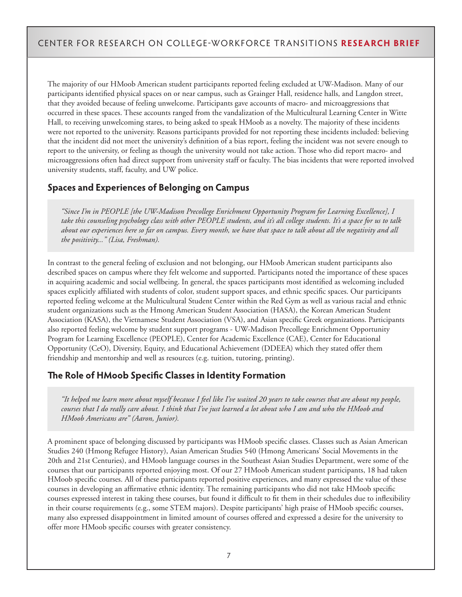The majority of our HMoob American student participants reported feeling excluded at UW-Madison. Many of our participants identified physical spaces on or near campus, such as Grainger Hall, residence halls, and Langdon street, that they avoided because of feeling unwelcome. Participants gave accounts of macro- and microaggressions that occurred in these spaces. These accounts ranged from the vandalization of the Multicultural Learning Center in Witte Hall, to receiving unwelcoming stares, to being asked to speak HMoob as a novelty. The majority of these incidents were not reported to the university. Reasons participants provided for not reporting these incidents included: believing that the incident did not meet the university's definition of a bias report, feeling the incident was not severe enough to report to the university, or feeling as though the university would not take action. Those who did report macro- and microaggressions often had direct support from university staff or faculty. The bias incidents that were reported involved university students, staff, faculty, and UW police.

#### **Spaces and Experiences of Belonging on Campus**

*"Since I'm in PEOPLE [the UW-Madison Precollege Enrichment Opportunity Program for Learning Excellence], I take this counseling psychology class with other PEOPLE students, and it's all college students. It's a space for us to talk about our experiences here so far on campus. Every month, we have that space to talk about all the negativity and all the positivity..." (Lisa, Freshman).* 

In contrast to the general feeling of exclusion and not belonging, our HMoob American student participants also described spaces on campus where they felt welcome and supported. Participants noted the importance of these spaces in acquiring academic and social wellbeing. In general, the spaces participants most identified as welcoming included spaces explicitly affiliated with students of color, student support spaces, and ethnic specific spaces. Our participants reported feeling welcome at the Multicultural Student Center within the Red Gym as well as various racial and ethnic student organizations such as the Hmong American Student Association (HASA), the Korean American Student Association (KASA), the Vietnamese Student Association (VSA), and Asian specific Greek organizations. Participants also reported feeling welcome by student support programs - UW-Madison Precollege Enrichment Opportunity Program for Learning Excellence (PEOPLE), Center for Academic Excellence (CAE), Center for Educational Opportunity (CeO), Diversity, Equity, and Educational Achievement (DDEEA) which they stated offer them friendship and mentorship and well as resources (e.g. tuition, tutoring, printing).

#### **The Role of HMoob Specific Classes in Identity Formation**

*"It helped me learn more about myself because I feel like I've waited 20 years to take courses that are about my people, courses that I do really care about. I think that I've just learned a lot about who I am and who the HMoob and HMoob Americans are" (Aaron, Junior).* 

A prominent space of belonging discussed by participants was HMoob specific classes. Classes such as Asian American Studies 240 (Hmong Refugee History), Asian American Studies 540 (Hmong Americans' Social Movements in the 20th and 21st Centuries), and HMoob language courses in the Southeast Asian Studies Department, were some of the courses that our participants reported enjoying most. Of our 27 HMoob American student participants, 18 had taken HMoob specific courses. All of these participants reported positive experiences, and many expressed the value of these courses in developing an affirmative ethnic identity. The remaining participants who did not take HMoob specific courses expressed interest in taking these courses, but found it difficult to fit them in their schedules due to inflexibility in their course requirements (e.g., some STEM majors). Despite participants' high praise of HMoob specific courses, many also expressed disappointment in limited amount of courses offered and expressed a desire for the university to offer more HMoob specific courses with greater consistency.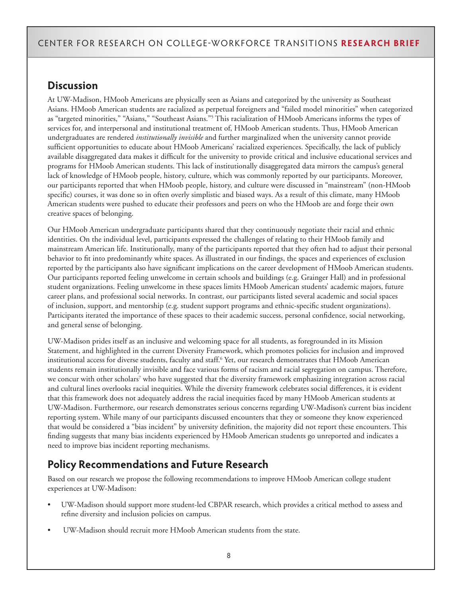# **Discussion**

At UW-Madison, HMoob Americans are physically seen as Asians and categorized by the university as Southeast Asians. HMoob American students are racialized as perpetual foreigners and "failed model minorities" when categorized as "targeted minorities," "Asians," "Southeast Asians."5 This racialization of HMoob Americans informs the types of services for, and interpersonal and institutional treatment of, HMoob American students. Thus, HMoob American undergraduates are rendered *institutionally invisible* and further marginalized when the university cannot provide sufficient opportunities to educate about HMoob Americans' racialized experiences. Specifically, the lack of publicly available disaggregated data makes it difficult for the university to provide critical and inclusive educational services and programs for HMoob American students. This lack of institutionally disaggregated data mirrors the campus's general lack of knowledge of HMoob people, history, culture, which was commonly reported by our participants. Moreover, our participants reported that when HMoob people, history, and culture were discussed in "mainstream" (non-HMoob specific) courses, it was done so in often overly simplistic and biased ways. As a result of this climate, many HMoob American students were pushed to educate their professors and peers on who the HMoob are and forge their own creative spaces of belonging.

Our HMoob American undergraduate participants shared that they continuously negotiate their racial and ethnic identities. On the individual level, participants expressed the challenges of relating to their HMoob family and mainstream American life. Institutionally, many of the participants reported that they often had to adjust their personal behavior to fit into predominantly white spaces. As illustrated in our findings, the spaces and experiences of exclusion reported by the participants also have significant implications on the career development of HMoob American students. Our participants reported feeling unwelcome in certain schools and buildings (e.g. Grainger Hall) and in professional student organizations. Feeling unwelcome in these spaces limits HMoob American students' academic majors, future career plans, and professional social networks. In contrast, our participants listed several academic and social spaces of inclusion, support, and mentorship (e.g. student support programs and ethnic-specific student organizations). Participants iterated the importance of these spaces to their academic success, personal confidence, social networking, and general sense of belonging.

UW-Madison prides itself as an inclusive and welcoming space for all students, as foregrounded in its Mission Statement, and highlighted in the current Diversity Framework, which promotes policies for inclusion and improved institutional access for diverse students, faculty and staff.<sup>6</sup> Yet, our research demonstrates that HMoob American students remain institutionally invisible and face various forms of racism and racial segregation on campus. Therefore, we concur with other scholars<sup>7</sup> who have suggested that the diversity framework emphasizing integration across racial and cultural lines overlooks racial inequities. While the diversity framework celebrates social differences, it is evident that this framework does not adequately address the racial inequities faced by many HMoob American students at UW-Madison. Furthermore, our research demonstrates serious concerns regarding UW-Madison's current bias incident reporting system. While many of our participants discussed encounters that they or someone they know experienced that would be considered a "bias incident" by university definition, the majority did not report these encounters. This finding suggests that many bias incidents experienced by HMoob American students go unreported and indicates a need to improve bias incident reporting mechanisms.

# **Policy Recommendations and Future Research**

Based on our research we propose the following recommendations to improve HMoob American college student experiences at UW-Madison:

- UW-Madison should support more student-led CBPAR research, which provides a critical method to assess and refine diversity and inclusion policies on campus.
- UW-Madison should recruit more HMoob American students from the state.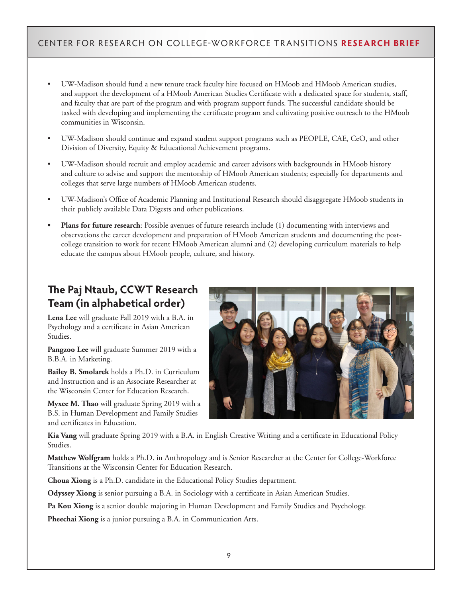- UW-Madison should fund a new tenure track faculty hire focused on HMoob and HMoob American studies, and support the development of a HMoob American Studies Certificate with a dedicated space for students, staff, and faculty that are part of the program and with program support funds. The successful candidate should be tasked with developing and implementing the certificate program and cultivating positive outreach to the HMoob communities in Wisconsin.
- UW-Madison should continue and expand student support programs such as PEOPLE, CAE, CeO, and other Division of Diversity, Equity & Educational Achievement programs.
- UW-Madison should recruit and employ academic and career advisors with backgrounds in HMoob history and culture to advise and support the mentorship of HMoob American students; especially for departments and colleges that serve large numbers of HMoob American students.
- UW-Madison's Office of Academic Planning and Institutional Research should disaggregate HMoob students in their publicly available Data Digests and other publications.
- **• Plans for future research**: Possible avenues of future research include (1) documenting with interviews and observations the career development and preparation of HMoob American students and documenting the postcollege transition to work for recent HMoob American alumni and (2) developing curriculum materials to help educate the campus about HMoob people, culture, and history.

# **The Paj Ntaub, CCWT Research Team (in alphabetical order)**

**Lena Lee** will graduate Fall 2019 with a B.A. in Psychology and a certificate in Asian American Studies.

**Pangzoo Lee** will graduate Summer 2019 with a B.B.A. in Marketing.

**Bailey B. Smolarek** holds a Ph.D. in Curriculum and Instruction and is an Associate Researcher at the Wisconsin Center for Education Research.

**Myxee M. Thao** will graduate Spring 2019 with a B.S. in Human Development and Family Studies and certificates in Education.



**Kia Vang** will graduate Spring 2019 with a B.A. in English Creative Writing and a certificate in Educational Policy Studies.

**Matthew Wolfgram** holds a Ph.D. in Anthropology and is Senior Researcher at the Center for College-Workforce Transitions at the Wisconsin Center for Education Research.

**Choua Xiong** is a Ph.D. candidate in the Educational Policy Studies department.

**Odyssey Xiong** is senior pursuing a B.A. in Sociology with a certificate in Asian American Studies.

**Pa Kou Xiong** is a senior double majoring in Human Development and Family Studies and Psychology.

**Pheechai Xiong** is a junior pursuing a B.A. in Communication Arts.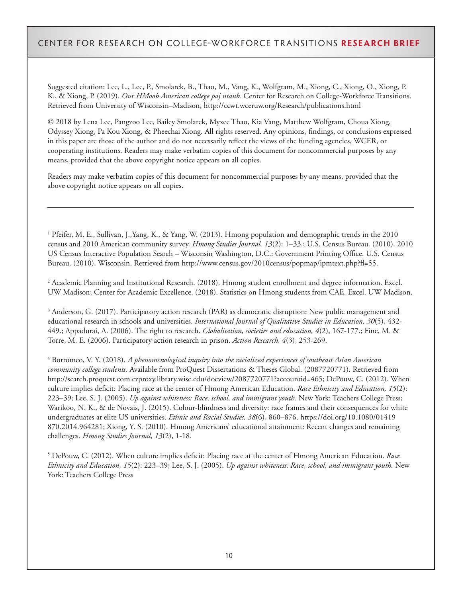Suggested citation: Lee, L., Lee, P., Smolarek, B., Thao, M., Vang, K., Wolfgram, M., Xiong, C., Xiong, O., Xiong, P. K., & Xiong, P. (2019). *Our HMoob American college paj ntaub.* Center for Research on College-Workforce Transitions. Retrieved from University of Wisconsin–Madison, http://ccwt.wceruw.org/Research/publications.html

© 2018 by Lena Lee, Pangzoo Lee, Bailey Smolarek, Myxee Thao, Kia Vang, Matthew Wolfgram, Choua Xiong, Odyssey Xiong, Pa Kou Xiong, & Pheechai Xiong. All rights reserved. Any opinions, findings, or conclusions expressed in this paper are those of the author and do not necessarily reflect the views of the funding agencies, WCER, or cooperating institutions. Readers may make verbatim copies of this document for noncommercial purposes by any means, provided that the above copyright notice appears on all copies.

Readers may make verbatim copies of this document for noncommercial purposes by any means, provided that the above copyright notice appears on all copies.

<sup>1</sup> Pfeifer, M. E., Sullivan, J.,Yang, K., & Yang, W. (2013). Hmong population and demographic trends in the 2010 census and 2010 American community survey. *Hmong Studies Journal, 13*(2): 1–33.; U.S. Census Bureau. (2010). 2010 US Census Interactive Population Search – Wisconsin Washington, D.C.: Government Printing Office. U.S. Census Bureau. (2010). Wisconsin. Retrieved from http://www.census.gov/2010census/popmap/ipmtext.php?fl=55.

2 Academic Planning and Institutional Research. (2018). Hmong student enrollment and degree information. Excel. UW Madison; Center for Academic Excellence. (2018). Statistics on Hmong students from CAE. Excel. UW Madison.

<sup>3</sup> Anderson, G. (2017). Participatory action research (PAR) as democratic disruption: New public management and educational research in schools and universities. *International Journal of Qualitative Studies in Education, 30*(5), 432- 449.; Appadurai, A. (2006). The right to research. *Globalisation, societies and education, 4*(2), 167-177.; Fine, M. & Torre, M. E. (2006). Participatory action research in prison. *Action Research, 4*(3), 253-269.

4 Borromeo, V. Y. (2018). *A phenomenological inquiry into the racialized experiences of southeast Asian American community college students.* Available from ProQuest Dissertations & Theses Global. (2087720771). Retrieved from http://search.proquest.com.ezproxy.library.wisc.edu/docview/2087720771?accountid=465; DePouw, C. (2012). When culture implies deficit: Placing race at the center of Hmong American Education. *Race Ethnicity and Education, 15*(2): 223–39; Lee, S. J. (2005). *Up against whiteness: Race, school, and immigrant youth.* New York: Teachers College Press; Warikoo, N. K., & de Novais, J. (2015). Colour-blindness and diversity: race frames and their consequences for white undergraduates at elite US universities. *Ethnic and Racial Studies, 38*(6), 860–876. https://doi.org/10.1080/01419 870.2014.964281; Xiong, Y. S. (2010). Hmong Americans' educational attainment: Recent changes and remaining challenges. *Hmong Studies Journal, 13*(2), 1-18.

5 DePouw, C. (2012). When culture implies deficit: Placing race at the center of Hmong American Education. *Race Ethnicity and Education, 15*(2): 223–39; Lee, S. J. (2005). *Up against whiteness: Race, school, and immigrant youth.* New York: Teachers College Press